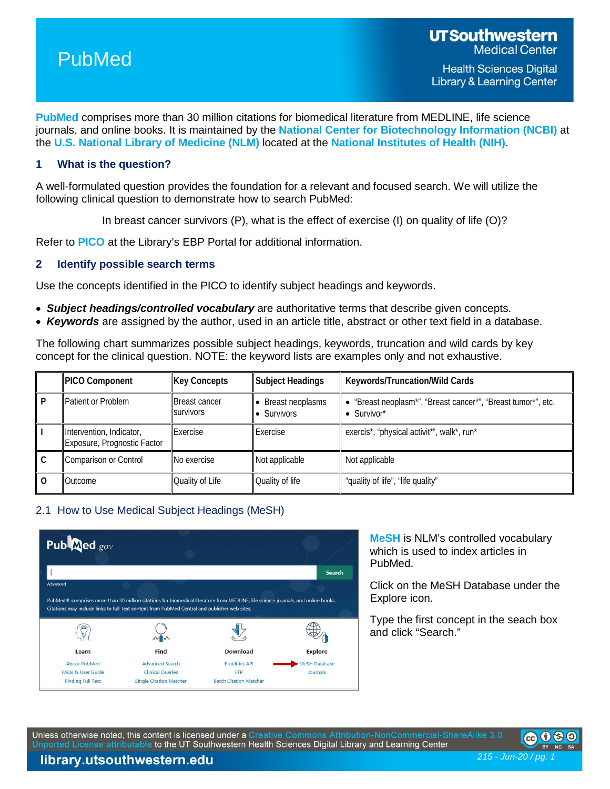

**[PubMed](https://pubmed.ncbi.nlm.nih.gov/)** comprises more than 30 million citations for biomedical literature from MEDLINE, life science journals, and online books. It is maintained by the **[National Center for Biotechnology Information \(NCBI\)](hhttps://www.ncbi.nlm.nih.gov/home/about/)** at the **[U.S. National Library of Medicine \(NLM\)](https://www.nlm.nih.gov/)** located at the **[National Institutes of Health \(NIH\)](https://www.nih.gov/)**.

### **1 What is the question?**

A well-formulated question provides the foundation for a relevant and focused search. We will utilize the following clinical question to demonstrate how to search PubMed:

In breast cancer survivors (P), what is the effect of exercise (I) on quality of life (O)?

Refer to **[PICO](https://library.utsouthwestern.edu/main/portals/ebpp/main.aspx?pico)** at the Library's EBP Portal for additional information.

### **2 Identify possible search terms**

Use the concepts identified in the PICO to identify subject headings and keywords.

- *Subject headings/controlled vocabulary* are authoritative terms that describe given concepts.
- *Keywords* are assigned by the author, used in an article title, abstract or other text field in a database.

The following chart summarizes possible subject headings, keywords, truncation and wild cards by key concept for the clinical question. NOTE: the keyword lists are examples only and not exhaustive.

| <b>PICO Component</b>                                                                                                           | <b>Key Concepts</b> | Subject Headings                                              | Keywords/Truncation/Wild Cards             |
|---------------------------------------------------------------------------------------------------------------------------------|---------------------|---------------------------------------------------------------|--------------------------------------------|
| Patient or Problem<br><b>Breast cancer</b><br>Breast neoplasms<br><b>SUIVIVOLS</b><br>$\bullet$ Survivor*<br><b>•</b> Survivors |                     | • "Breast neoplasm*", "Breast cancer*", "Breast tumor*", etc. |                                            |
| Intervention, Indicator,<br>Exposure, Prognostic Factor                                                                         | Exercise            | Exercise                                                      | exercis*, "physical activit*", walk*, run* |
| Comparison or Control                                                                                                           | No exercise         | Not applicable                                                | Not applicable                             |
| Outcome                                                                                                                         | Quality of Life     | Quality of life                                               | "quality of life", "life quality"          |

### 2.1 How to Use Medical Subject Headings (MeSH)



**[MeSH](https://www.ncbi.nlm.nih.gov/mesh/)** is NLM's controlled vocabulary which is used to index articles in PubMed.

Click on the MeSH Database under the Explore icon.

Type the first concept in the seach box and click "Search."

Unless otherwise noted, this content is licensed under a Creative Commons Attribution-NonCommercial-ShareAlike 3.0 Unported License attributable to the UT Southwestern Health Sciences Digital Library and Learning Center



*215 - Jun-20 / pg. 1*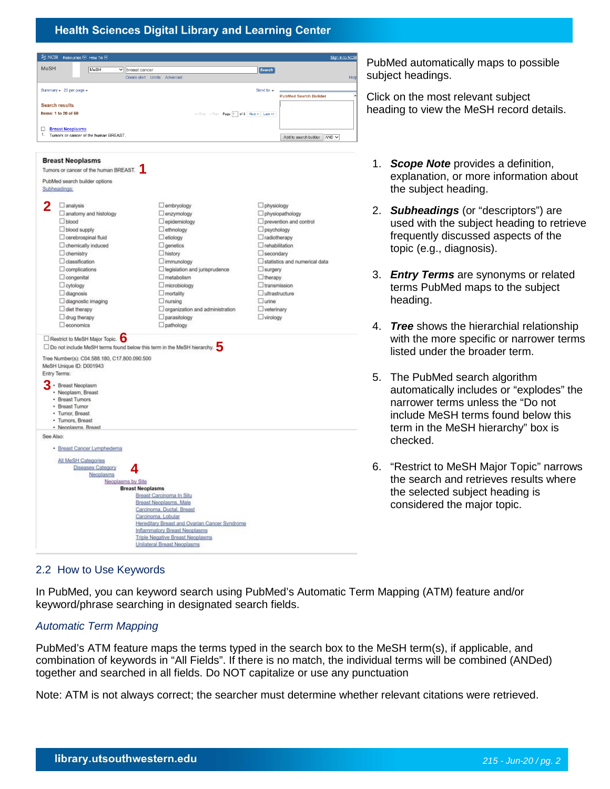

PubMed automatically maps to possible subject headings.

Click on the most relevant subject heading to view the MeSH record details.

- 1. *Scope Note* provides a definition, explanation, or more information about the subject heading.
- 2. *Subheadings* (or "descriptors") are used with the subject heading to retrieve frequently discussed aspects of the topic (e.g., diagnosis).
- 3. *Entry Terms* are synonyms or related terms PubMed maps to the subject heading.
- 4. *Tree* shows the hierarchial relationship with the more specific or narrower terms listed under the broader term.
- 5. The PubMed search algorithm automatically includes or "explodes" the narrower terms unless the "Do not include MeSH terms found below this term in the MeSH hierarchy" box is checked.
- 6. "Restrict to MeSH Major Topic" narrows the search and retrieves results where the selected subject heading is considered the major topic.

# 2.2 How to Use Keywords

In PubMed, you can keyword search using PubMed's Automatic Term Mapping (ATM) feature and/or keyword/phrase searching in designated search fields.

# *Automatic Term Mapping*

PubMed's ATM feature maps the terms typed in the search box to the MeSH term(s), if applicable, and combination of keywords in "All Fields". If there is no match, the individual terms will be combined (ANDed) together and searched in all fields. Do NOT capitalize or use any punctuation

Note: ATM is not always correct; the searcher must determine whether relevant citations were retrieved.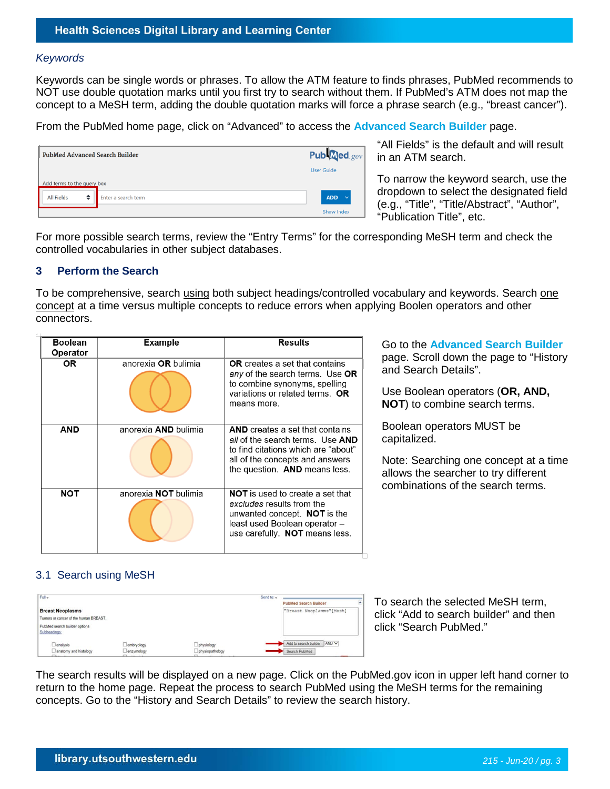#### *Keywords*

Keywords can be single words or phrases. To allow the ATM feature to finds phrases, PubMed recommends to NOT use double quotation marks until you first try to search without them. If PubMed's ATM does not map the concept to a MeSH term, adding the double quotation marks will force a phrase search (e.g., "breast cancer").

From the PubMed home page, click on "Advanced" to access the **[Advanced Search Builder](https://pubmed.ncbi.nlm.nih.gov/advanced/)** page.

|                            | PubMed Advanced Search Builder |                     |                            |  |  |  |  |  |
|----------------------------|--------------------------------|---------------------|----------------------------|--|--|--|--|--|
|                            |                                |                     | <b>User Guide</b>          |  |  |  |  |  |
| Add terms to the query box |                                |                     |                            |  |  |  |  |  |
| <b>All Fields</b>          | ٠                              | Enter a search term | <b>ADD</b><br>$\checkmark$ |  |  |  |  |  |
|                            |                                |                     | Show Index                 |  |  |  |  |  |

"All Fields" is the default and will result in an ATM search.

To narrow the keyword search, use the dropdown to select the designated field (e.g., "Title", "Title/Abstract", "Author", "Publication Title", etc.

For more possible search terms, review the "Entry Terms" for the corresponding MeSH term and check the controlled vocabularies in other subject databases.

#### **3 Perform the Search**

To be comprehensive, search using both subject headings/controlled vocabulary and keywords. Search one concept at a time versus multiple concepts to reduce errors when applying Boolen operators and other connectors.

| <b>Boolean</b><br>Operator | <b>Example</b>       | <b>Results</b>                                                                                                                                                                        |
|----------------------------|----------------------|---------------------------------------------------------------------------------------------------------------------------------------------------------------------------------------|
| OR.                        | anorexia OR bulimia  | <b>OR</b> creates a set that contains<br>any of the search terms. Use OR<br>to combine synonyms, spelling<br>variations or related terms. OR<br>means more.                           |
| <b>AND</b>                 | anorexia AND bulimia | <b>AND</b> creates a set that contains<br>all of the search terms. Use AND<br>to find citations which are "about"<br>all of the concepts and answers<br>the question. AND means less. |
| NOT                        | anorexia NOT bulimia | <b>NOT</b> is used to create a set that<br>excludes results from the<br>unwanted concept. NOT is the<br>least used Boolean operator -<br>use carefully. NOT means less.               |

Go to the **[Advanced Search Builder](https://pubmed.ncbi.nlm.nih.gov/advanced/)** page. Scroll down the page to "History and Search Details".

Use Boolean operators (**OR, AND, NOT**) to combine search terms.

Boolean operators MUST be capitalized.

Note: Searching one concept at a time allows the searcher to try different combinations of the search terms.

### 3.1 Search using MeSH

| Full +                                        |                                |                  | Send to: - |                                |  |
|-----------------------------------------------|--------------------------------|------------------|------------|--------------------------------|--|
|                                               |                                |                  |            | <b>PubMed Search Builder</b>   |  |
| <b>Breast Neoplasms</b>                       |                                |                  |            | "Breast Neoplasms" [Mesh]      |  |
| Tumors or cancer of the human BREAST.         |                                |                  |            |                                |  |
| PubMed search builder options<br>Subheadings: |                                |                  |            |                                |  |
| $\Box$ analysis                               | embryology                     | physiology       |            | Add to search builder<br>AND V |  |
| $\Box$ anatomy and histology<br>T11111        | enzymology<br>$m_{\text{max}}$ | Dphysiopathology |            | Search PubMed                  |  |

To search the selected MeSH term, click "Add to search builder" and then click "Search PubMed."

The search results will be displayed on a new page. Click on the PubMed.gov icon in upper left hand corner to return to the home page. Repeat the process to search PubMed using the MeSH terms for the remaining concepts. Go to the "History and Search Details" to review the search history.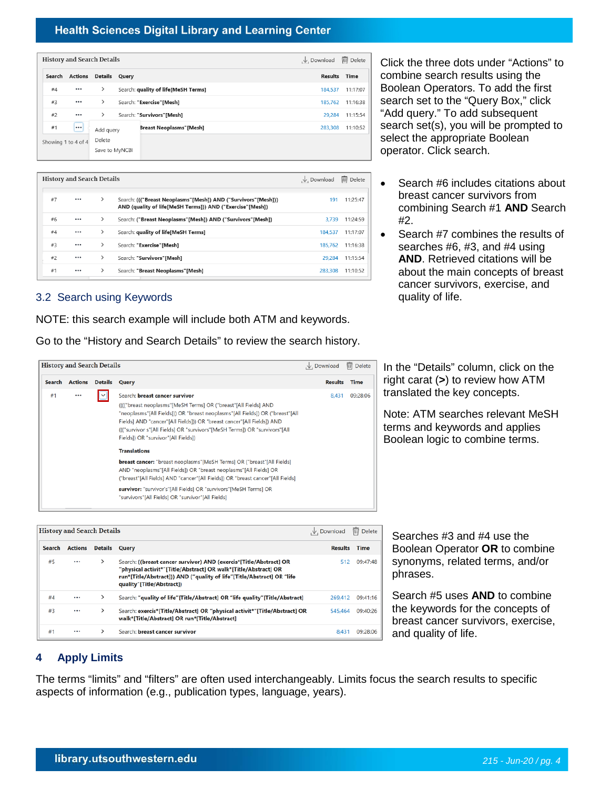# **Health Sciences Digital Library and Learning Center**

|                     | <b>History and Search Details</b> | , ↓ Download                 | <b>III</b> Delete                   |         |          |
|---------------------|-----------------------------------|------------------------------|-------------------------------------|---------|----------|
| Search              |                                   | <b>Actions Details Query</b> |                                     | Results | Time     |
| #4                  | $\cdots$                          | $\rightarrow$                | Search: quality of life[MeSH Terms] | 184.537 | 11:17:07 |
| #3                  | $\cdots$                          | $\rightarrow$                | Search: "Exercise"[Mesh]            | 185.762 | 11:16:38 |
| #2                  | $\cdots$                          | $\rightarrow$                | Search: "Survivors"[Mesh]           | 29.284  | 11:15:54 |
| #1                  | $\cdots$                          | Add query                    | <b>Breast Neoplasms"</b> [Mesh]     | 283.308 | 11:10:52 |
| Showing 1 to 4 of 4 |                                   | Delete                       |                                     |         |          |
|                     |                                   | Save to MyNCBI               |                                     |         |          |

|    | <b>History and Search Details</b> |               | .V. Download                                                                                                               | $\overline{\mathbf{m}}$ Delete |          |
|----|-----------------------------------|---------------|----------------------------------------------------------------------------------------------------------------------------|--------------------------------|----------|
|    |                                   |               |                                                                                                                            |                                |          |
| #7 |                                   | $\rightarrow$ | Search: ((("Breast Neoplasms"[Mesh]) AND ("Survivors"[Mesh]))<br>AND (quality of life[MeSH Terms])) AND ("Exercise"[Mesh]) | 191                            | 11:25:47 |
| #6 | $\cdots$                          | $\rightarrow$ | Search: ("Breast Neoplasms"[Mesh]) AND ("Survivors"[Mesh])                                                                 | 3.739                          | 11:24:59 |
| #4 |                                   | $\rightarrow$ | Search: quality of life[MeSH Terms]                                                                                        | 184.537                        | 11:17:07 |
| #3 |                                   | ⋋             | Search: "Exercise"[Mesh]                                                                                                   | 185.762                        | 11:16:38 |
| #2 |                                   | ≻             | Search: "Survivors"[Mesh]                                                                                                  | 29,284                         | 11:15:54 |
| #1 |                                   | $\rightarrow$ | Search: "Breast Neoplasms"[Mesh]                                                                                           | 283.308                        | 11:10:52 |
|    |                                   |               |                                                                                                                            |                                |          |

## 3.2 Search using Keywords

NOTE: this search example will include both ATM and keywords.

Go to the "History and Search Details" to review the search history.

|        | <b>History and Search Details</b> |                |                                                                                                                                                                                                                                                                                                                                                                                  | $\downarrow$ , Download | $\overline{\mathbb{m}}$<br><b>Delete</b> |
|--------|-----------------------------------|----------------|----------------------------------------------------------------------------------------------------------------------------------------------------------------------------------------------------------------------------------------------------------------------------------------------------------------------------------------------------------------------------------|-------------------------|------------------------------------------|
| Search | <b>Actions</b>                    | <b>Details</b> | Query                                                                                                                                                                                                                                                                                                                                                                            | <b>Results</b>          | Time                                     |
| #1     | $\cdots$                          | ∣∨∣            | Search: breast cancer survivor<br>((("breast neoplasms"[MeSH Terms] OR ("breast"[All Fields] AND<br>"neoplasms"[All Fields])) OR "breast neoplasms"[All Fields]) OR ("breast"[All<br>Fields] AND "cancer"[All Fields])) OR "breast cancer"[All Fields]) AND<br>((("survivor s"[All Fields] OR "survivors"[MeSH Terms]) OR "survivors"[All<br>Fields]) OR "survivor"[All Fields]) | 8.431                   | 09:28:06                                 |
|        |                                   |                | <b>Translations</b>                                                                                                                                                                                                                                                                                                                                                              |                         |                                          |
|        |                                   |                | breast cancer: "breast neoplasms"[MeSH Terms] OR ("breast"[All Fields]<br>AND "neoplasms"[All Fields]) OR "breast neoplasms"[All Fields] OR<br>("breast"[All Fields] AND "cancer"[All Fields]) OR "breast cancer"[All Fields]                                                                                                                                                    |                         |                                          |
|        |                                   |                | survivor: "survivor's"[All Fields] OR "survivors"[MeSH Terms] OR<br>"survivors"[All Fields] OR "survivor"[All Fields]                                                                                                                                                                                                                                                            |                         |                                          |

Click the three dots under "Actions" to combine search results using the Boolean Operators. To add the first search set to the "Query Box," click "Add query." To add subsequent search set(s), you will be prompted to select the appropriate Boolean operator. Click search.

- Search #6 includes citations about breast cancer survivors from combining Search #1 **AND** Search #2.
- Search #7 combines the results of searches #6, #3, and #4 using **AND**. Retrieved citations will be about the main concepts of breast cancer survivors, exercise, and quality of life.

In the "Details" column, click on the right carat (**>**) to review how ATM translated the key concepts.

Note: ATM searches relevant MeSH terms and keywords and applies Boolean logic to combine terms.

|        | <b>History and Search Details</b> |                |                                                                                                                                                                                                                                              | $\downarrow$ . Download | $\overline{w}$<br><b>Delete</b> |
|--------|-----------------------------------|----------------|----------------------------------------------------------------------------------------------------------------------------------------------------------------------------------------------------------------------------------------------|-------------------------|---------------------------------|
| Search | <b>Actions</b>                    | <b>Details</b> | Query                                                                                                                                                                                                                                        | <b>Results</b>          | <b>Time</b>                     |
| #5     |                                   | ⋋              | Search: ((breast cancer survivor) AND (exercis*[Title/Abstract] OR<br>"physical activit*"[Title/Abstract] OR walk*[Title/Abstract] OR<br>run*[Title/Abstract])) AND ("quality of life"[Title/Abstract] OR "life<br>quality"[Title/Abstract]) | 512                     | 09:47:48                        |
| #4     |                                   | ⋋              | Search: "quality of life"[Title/Abstract] OR "life quality"[Title/Abstract]                                                                                                                                                                  | 269,412                 | 09:41:16                        |
| #3     |                                   | ⋋              | Search: exercis*[Title/Abstract] OR "physical activit*"[Title/Abstract] OR<br>walk*[Title/Abstract] OR run*[Title/Abstract]                                                                                                                  | 545,464                 | 09:40:26                        |
| #1     |                                   | ⋋              | Search: <b>breast cancer survivor</b>                                                                                                                                                                                                        | 8,431                   | 09:28:06                        |

Searches #3 and #4 use the Boolean Operator **OR** to combine synonyms, related terms, and/or phrases.

Search #5 uses **AND** to combine the keywords for the concepts of breast cancer survivors, exercise, and quality of life.

### **4 Apply Limits**

The terms "limits" and "filters" are often used interchangeably. Limits focus the search results to specific aspects of information (e.g., publication types, language, years).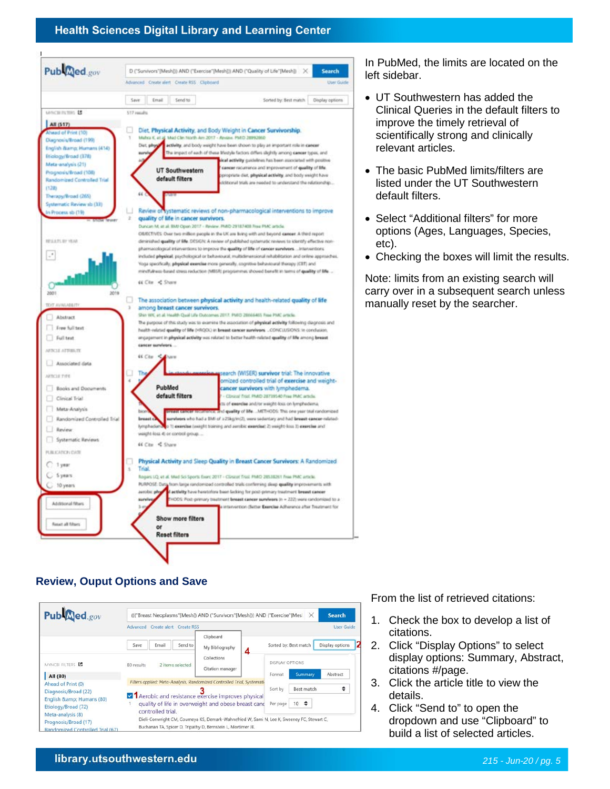### **Health Sciences Digital Library and Learning Center**



In PubMed, the limits are located on the left sidebar.

- UT Southwestern has added the Clinical Queries in the default filters to improve the timely retrieval of scientifically strong and clinically relevant articles.
- The basic PubMed limits/filters are listed under the UT Southwestern default filters.
- Select "Additional filters" for more options (Ages, Languages, Species, etc).
- Checking the boxes will limit the results.

Note: limits from an existing search will carry over in a subsequent search unless manually reset by the searcher.

## **Review, Ouput Options and Save**



From the list of retrieved citations:

- 1. Check the box to develop a list of citations.
- 2. Click "Display Options" to select display options: Summary, Abstract, citations #/page.
- 3. Click the article title to view the details.
- 4. Click "Send to" to open the dropdown and use "Clipboard" to build a list of selected articles.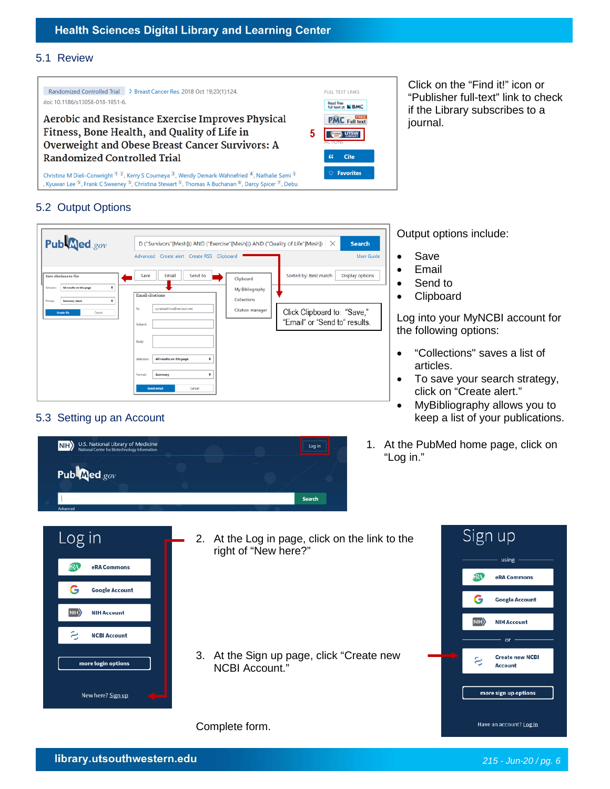#### 5.1 Review



Click on the "Find it!" icon or "Publisher full-text" link to check if the Library subscribes to a journal.

## 5.2 Output Options



5.3 Setting up an Account



Output options include:

- Save
- Email
- Send to
- Clipboard

Log into your MyNCBI account for the following options:

- "Collections" saves a list of articles.
- To save your search strategy, click on "Create alert."
- MyBibliography allows you to keep a list of your publications.
- 1. At the PubMed home page, click on "Log in."